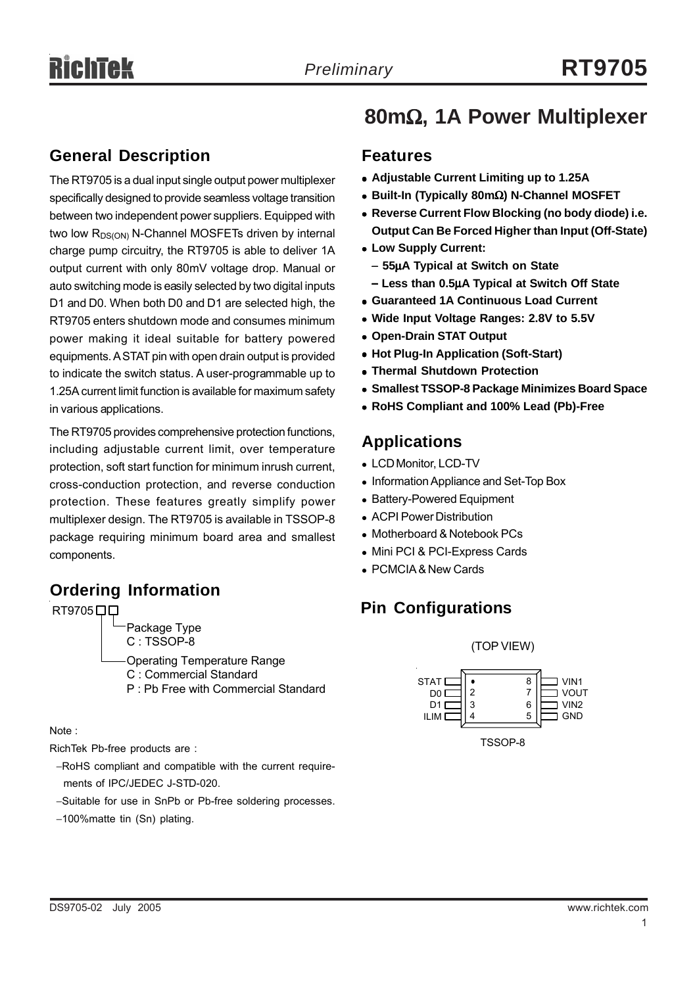### **General Description**

The RT9705 is a dual input single output power multiplexer specifically designed to provide seamless voltage transition between two independent power suppliers. Equipped with two low R<sub>DS(ON)</sub> N-Channel MOSFETs driven by internal charge pump circuitry, the RT9705 is able to deliver 1A output current with only 80mV voltage drop. Manual or auto switching mode is easily selected by two digital inputs D1 and D0. When both D0 and D1 are selected high, the RT9705 enters shutdown mode and consumes minimum power making it ideal suitable for battery powered equipments. A STAT pin with open drain output is provided to indicate the switch status. A user-programmable up to 1.25A current limit function is available for maximum safety in various applications.

The RT9705 provides comprehensive protection functions, including adjustable current limit, over temperature protection, soft start function for minimum inrush current, cross-conduction protection, and reverse conduction protection. These features greatly simplify power multiplexer design. The RT9705 is available in TSSOP-8 package requiring minimum board area and smallest components.

### **Ordering Information**

Package Type C : TSSOP-8 Operating Temperature Range RT9705<sub>DD</sub>

- C : Commercial Standard
- P : Pb Free with Commercial Standard

#### Note :

RichTek Pb-free products are :

−RoHS compliant and compatible with the current require ments of IPC/JEDEC J-STD-020.

- −Suitable for use in SnPb or Pb-free soldering processes.
- −100%matte tin (Sn) plating.

# **80m**Ω**, 1A Power Multiplexer**

#### **Features**

- <sup>z</sup> **Adjustable Current Limiting up to 1.25A**
- <sup>z</sup> **Built-In (Typically 80m**Ω**) N-Channel MOSFET**
- **Reverse Current Flow Blocking (no body diode) i.e. Output Can Be Forced Higher than Input (Off-State)**
- **Low Supply Current:** 
	- − **55**μ**A Typical at Switch on State**
	- − **Less than 0.5**μ**A Typical at Switch Off State**
- <sup>z</sup> **Guaranteed 1A Continuous Load Current**
- Wide Input Voltage Ranges: 2.8V to 5.5V
- **Open-Drain STAT Output**
- <sup>z</sup> **Hot Plug-In Application (Soft-Start)**
- **Thermal Shutdown Protection**
- **Smallest TSSOP-8 Package Minimizes Board Space**
- <sup>z</sup> **RoHS Compliant and 100% Lead (Pb)-Free**

### **Applications**

- LCD Monitor, LCD-TV
- Information Appliance and Set-Top Box
- Battery-Powered Equipment
- ACPI Power Distribution
- Motherboard & Notebook PCs
- Mini PCI & PCI-Express Cards
- PCMCIA & New Cards

### **Pin Configurations**

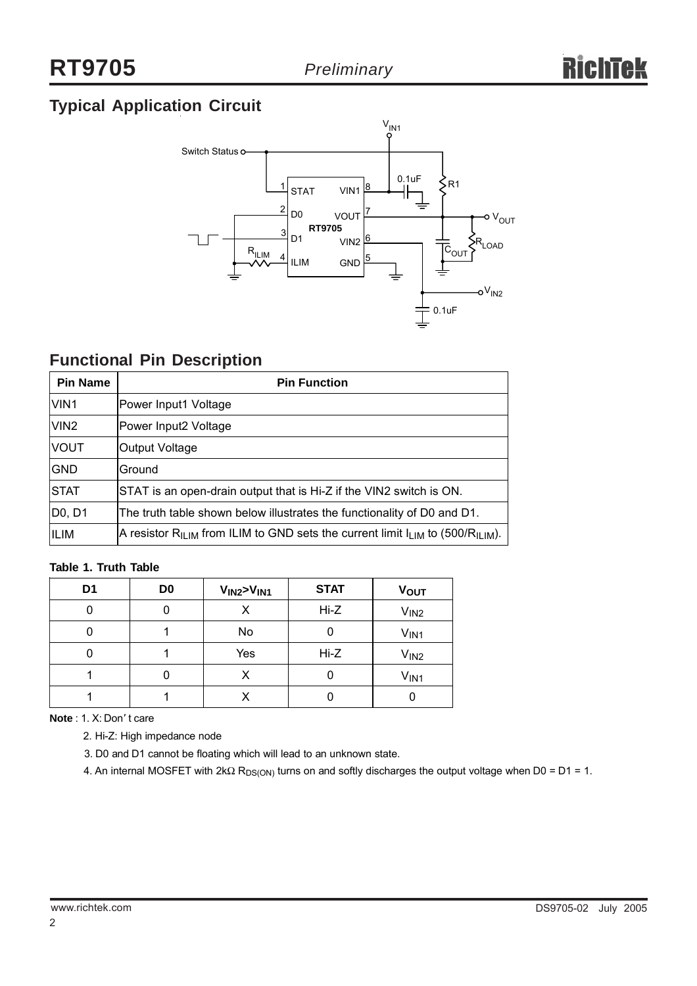# **Typical Application Circuit**



### **Functional Pin Description**

| <b>Pin Name</b> | <b>Pin Function</b>                                                                                         |  |  |  |  |
|-----------------|-------------------------------------------------------------------------------------------------------------|--|--|--|--|
| VIN1            | Power Input1 Voltage                                                                                        |  |  |  |  |
| VIN2            | Power Input2 Voltage                                                                                        |  |  |  |  |
| <b>VOUT</b>     | Output Voltage                                                                                              |  |  |  |  |
| <b>GND</b>      | Ground                                                                                                      |  |  |  |  |
| <b>STAT</b>     | STAT is an open-drain output that is Hi-Z if the VIN2 switch is ON.                                         |  |  |  |  |
| D0, D1          | The truth table shown below illustrates the functionality of D0 and D1.                                     |  |  |  |  |
| ILIM            | A resistor R <sub>ILIM</sub> from ILIM to GND sets the current limit $I_{LIM}$ to (500/R <sub>ILIM</sub> ). |  |  |  |  |

#### **Table 1. Truth Table**

| D <sub>1</sub> | D <sub>0</sub> | V <sub>IN2</sub> V <sub>IN1</sub> | <b>STAT</b> | <b>VOUT</b>      |
|----------------|----------------|-----------------------------------|-------------|------------------|
|                |                |                                   | Hi-Z        | V <sub>IN2</sub> |
|                |                | No                                |             | V <sub>IN1</sub> |
|                |                | Yes                               | $Hi-Z$      | V <sub>IN2</sub> |
|                |                |                                   |             | V <sub>IN1</sub> |
|                |                |                                   |             |                  |

**Note** : 1. X: Don' t care

- 2. Hi-Z: High impedance node
- 3. D0 and D1 cannot be floating which will lead to an unknown state.
- 4. An internal MOSFET with 2kΩ R<sub>DS(ON)</sub> turns on and softly discharges the output voltage when D0 = D1 = 1.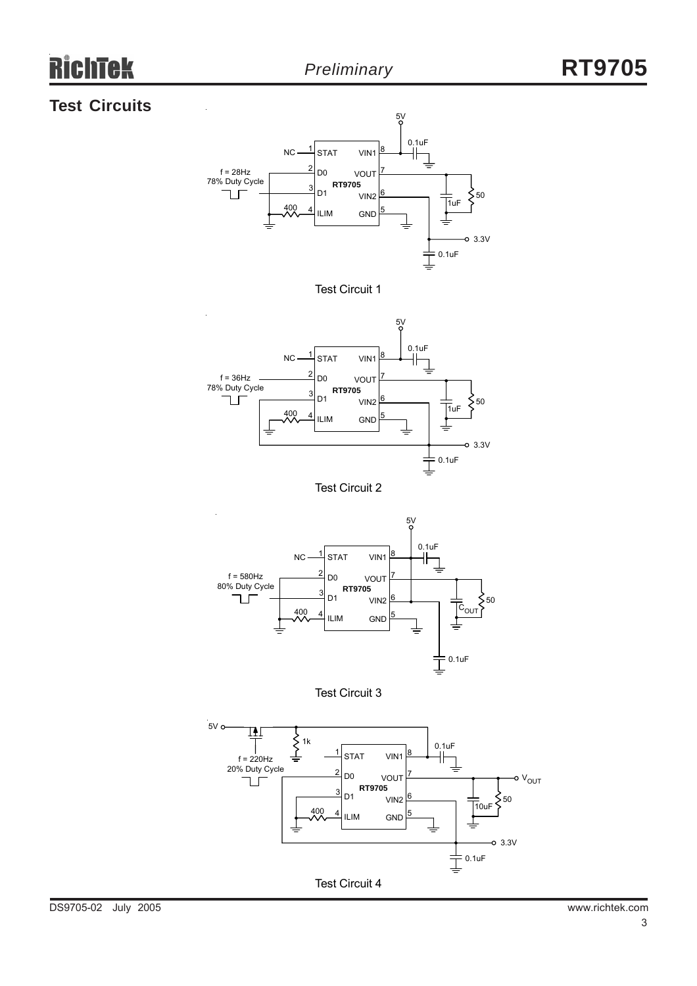# iek

### **Test Circuits**







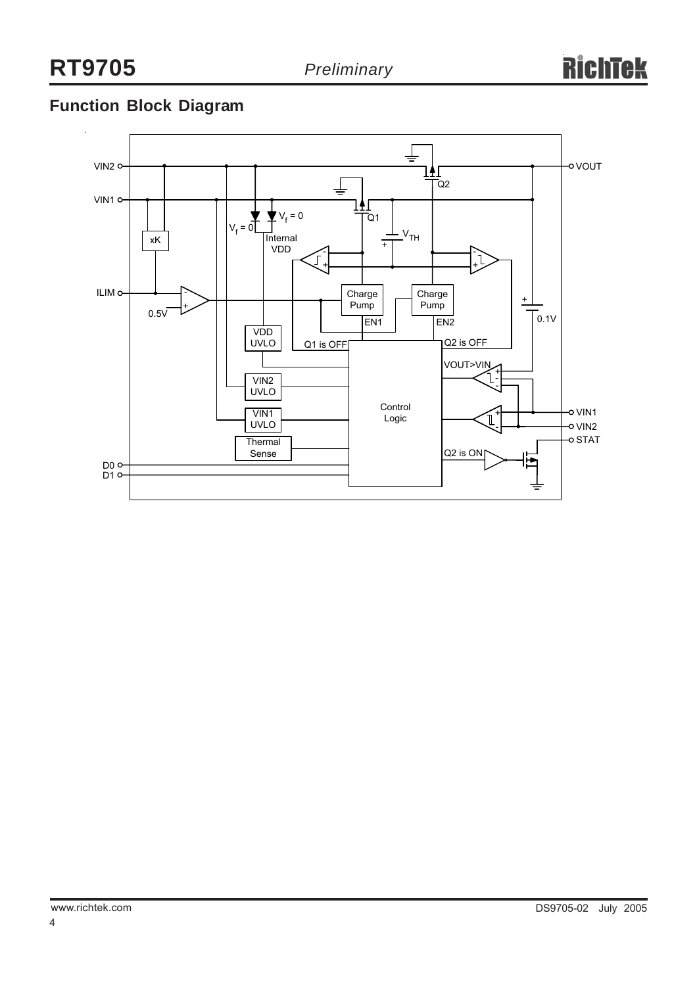# **Function Block Diagram**

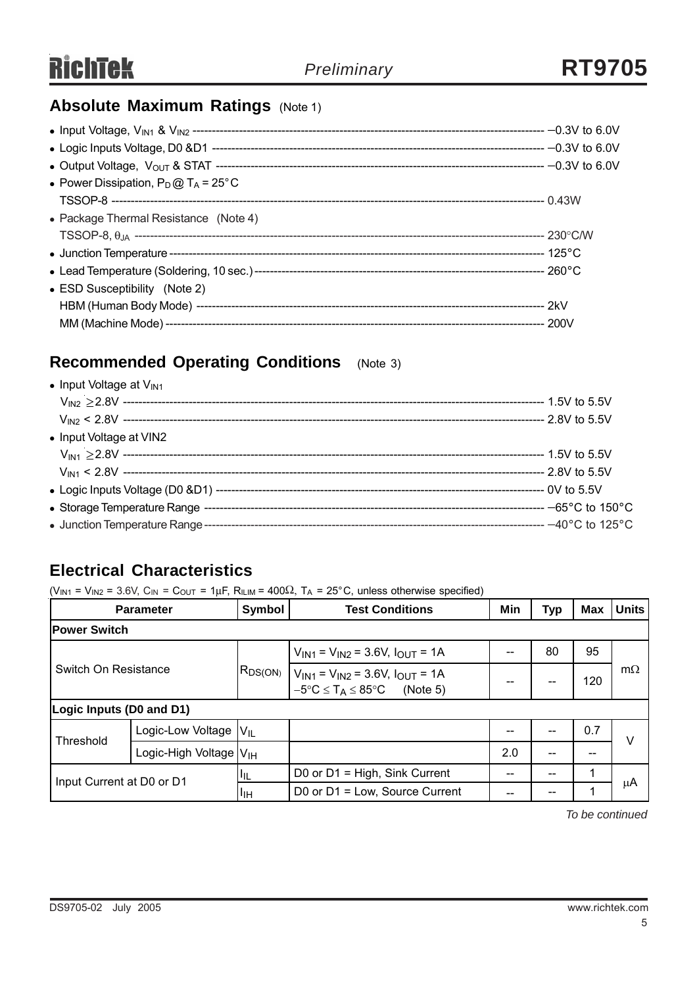### **Absolute Maximum Ratings (Note 1)**

| • Power Dissipation, $P_D @ T_A = 25^{\circ}C$ |  |
|------------------------------------------------|--|
|                                                |  |
| • Package Thermal Resistance (Note 4)          |  |
|                                                |  |
|                                                |  |
|                                                |  |
| • ESD Susceptibility (Note 2)                  |  |
|                                                |  |
|                                                |  |

## **Recommended Operating Conditions** (Note 3)

| • Input Voltage at $V_{IN1}$ |  |
|------------------------------|--|
|                              |  |
|                              |  |
| • Input Voltage at VIN2      |  |
|                              |  |
|                              |  |
|                              |  |
|                              |  |
|                              |  |
|                              |  |

### **Electrical Characteristics**

 $(V_{IN1} = V_{IN2} = 3.6V, C_{IN} = C_{OUT} = 1 \mu F, R_{ILIM} = 400 \Omega, T_A = 25^{\circ}C,$  unless otherwise specified)

| <b>Parameter</b>               |                                    | <b>Symbol</b> | <b>Test Conditions</b>                                                                                       | Min | <b>Typ</b> | Max | <b>Units</b> |
|--------------------------------|------------------------------------|---------------|--------------------------------------------------------------------------------------------------------------|-----|------------|-----|--------------|
| <b>Power Switch</b>            |                                    |               |                                                                                                              |     |            |     |              |
| Switch On Resistance           |                                    |               | $V_{IN1}$ = $V_{IN2}$ = 3.6V, $I_{OUT}$ = 1A                                                                 |     | 80         | 95  |              |
|                                |                                    |               | $R_{DS(ON)}$ $V_{IN1} = V_{IN2} = 3.6V$ , $I_{OUT} = 1A$<br>$-5^{\circ}C \leq T_A \leq 85^{\circ}C$ (Note 5) |     |            | 120 | $m\Omega$    |
|                                | Logic Inputs (D0 and D1)           |               |                                                                                                              |     |            |     |              |
| Logic-Low Voltage<br>Threshold |                                    | $V_{IL}$      |                                                                                                              | --  |            | 0.7 | V            |
|                                | Logic-High Voltage V <sub>IH</sub> |               |                                                                                                              | 2.0 | --         | --  |              |
| Input Current at D0 or D1      |                                    | IIL.          | D0 or D1 = High, Sink Current                                                                                | --  | --         |     |              |
|                                |                                    | IJН           | D0 or D1 = Low, Source Current<br>--                                                                         |     | --         |     | μA           |

*To be continued*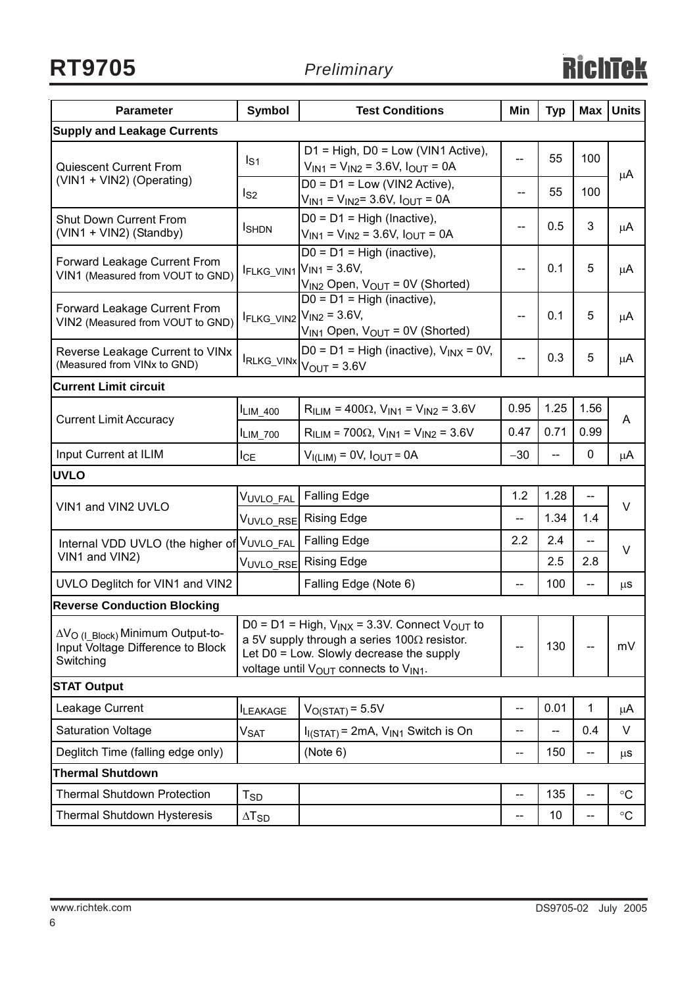**RT9705** *Preliminary*

| <b>Parameter</b>                                                 | <b>Symbol</b>                                                                                                                                                   | <b>Test Conditions</b>                                                                     | Min            | <b>Typ</b>               | Max                      | <b>Units</b>    |  |
|------------------------------------------------------------------|-----------------------------------------------------------------------------------------------------------------------------------------------------------------|--------------------------------------------------------------------------------------------|----------------|--------------------------|--------------------------|-----------------|--|
| <b>Supply and Leakage Currents</b>                               |                                                                                                                                                                 |                                                                                            |                |                          |                          |                 |  |
|                                                                  | I <sub>S1</sub>                                                                                                                                                 | $D1 = High, D0 = Low (VIN1 Active),$                                                       | $-$            | 55                       | 100                      | μ $A$           |  |
| <b>Quiescent Current From</b>                                    |                                                                                                                                                                 | $V_{IN1} = V_{IN2} = 3.6V$ , $I_{OUT} = 0A$                                                |                |                          |                          |                 |  |
| (VIN1 + VIN2) (Operating)                                        | $I_{S2}$                                                                                                                                                        | $D0 = D1 = Low (VIN2 Active),$                                                             | --             | 55                       | 100                      |                 |  |
|                                                                  |                                                                                                                                                                 | $V_{IN1} = V_{IN2} = 3.6 V, I_{OUT} = 0 A$                                                 |                |                          |                          |                 |  |
| <b>Shut Down Current From</b><br>(VIN1 + VIN2) (Standby)         | <b>I</b> SHDN                                                                                                                                                   | $D0 = D1 = High (Inactive),$<br>$V_{IN1}$ = $V_{IN2}$ = 3.6V, $I_{OUT}$ = 0A               | --             | 0.5                      | 3                        | μA              |  |
|                                                                  |                                                                                                                                                                 | $D0 = D1 = High (inactive),$                                                               |                |                          |                          |                 |  |
| Forward Leakage Current From<br>VIN1 (Measured from VOUT to GND) | <b>IFLKG_VIN1</b>                                                                                                                                               | $V_{IN1} = 3.6V,$                                                                          | --             | 0.1                      | 5                        | μA              |  |
|                                                                  |                                                                                                                                                                 | V <sub>IN2</sub> Open, V <sub>OUT</sub> = 0V (Shorted)                                     |                |                          |                          |                 |  |
| Forward Leakage Current From                                     |                                                                                                                                                                 | $D0 = D1 = High (inactive),$                                                               |                |                          | 5                        | μA              |  |
| VIN2 (Measured from VOUT to GND)                                 |                                                                                                                                                                 | $I_{\text{FLKG\_VIN2}} V_{\text{IN2}}$ = 3.6V,<br>$V_{IN1}$ Open, $V_{OUT}$ = 0V (Shorted) | --             | 0.1                      |                          |                 |  |
| Reverse Leakage Current to VINx                                  |                                                                                                                                                                 | D0 = D1 = High (inactive), $V_{INX}$ = 0V,                                                 |                |                          |                          | μ $A$           |  |
| (Measured from VINx to GND)                                      |                                                                                                                                                                 | $I_{RLKG\_VINx} _{V_{OUT}} = 3.6V$                                                         |                | 0.3                      | 5                        |                 |  |
| <b>Current Limit circuit</b>                                     |                                                                                                                                                                 |                                                                                            |                |                          |                          |                 |  |
|                                                                  | ILIM_400                                                                                                                                                        | $R_{ILIM}$ = 400 $\Omega$ , $V_{IN1}$ = $V_{IN2}$ = 3.6V                                   | 0.95           | 1.25                     | 1.56                     | A               |  |
| <b>Current Limit Accuracy</b>                                    | <b>LIM_700</b>                                                                                                                                                  | $R_{ILIM}$ = 700 $\Omega$ , $V_{IN1}$ = $V_{IN2}$ = 3.6V                                   | 0.47           | 0.71                     | 0.99                     |                 |  |
| Input Current at ILIM                                            | <b>I</b> CE                                                                                                                                                     | $V_{I(LIM)} = 0V$ , $I_{OUT} = 0A$                                                         | $-30$          | $\overline{\phantom{a}}$ | 0                        | μA              |  |
| <b>UVLO</b>                                                      |                                                                                                                                                                 |                                                                                            |                |                          |                          |                 |  |
| VIN1 and VIN2 UVLO                                               | V <sub>UVLO_FAL</sub>                                                                                                                                           | <b>Falling Edge</b>                                                                        | 1.2            | 1.28                     | --                       | $\vee$          |  |
|                                                                  | V <sub>UVLO RSE</sub>                                                                                                                                           | <b>Rising Edge</b>                                                                         | $\overline{a}$ | 1.34                     | 1.4                      |                 |  |
| Internal VDD UVLO (the higher of VUVLO_FAL                       |                                                                                                                                                                 | <b>Falling Edge</b>                                                                        | 2.2            | 2.4                      | --                       | $\vee$          |  |
| VIN1 and VIN2)                                                   | V <sub>UVLO_RSE</sub>                                                                                                                                           | <b>Rising Edge</b>                                                                         |                | 2.5                      | 2.8                      |                 |  |
| UVLO Deglitch for VIN1 and VIN2                                  |                                                                                                                                                                 | Falling Edge (Note 6)                                                                      | --             | 100                      | $\overline{\phantom{a}}$ | μS              |  |
| <b>Reverse Conduction Blocking</b>                               |                                                                                                                                                                 |                                                                                            |                |                          |                          |                 |  |
| ΔV <sub>O (I Block)</sub> Minimum Output-to-                     |                                                                                                                                                                 | D0 = D1 = High, $V_{INX}$ = 3.3V. Connect $V_{OUT}$ to                                     |                |                          |                          |                 |  |
| Input Voltage Difference to Block                                | a 5V supply through a series $100\Omega$ resistor.<br>Let D0 = Low. Slowly decrease the supply<br>voltage until V <sub>OUT</sub> connects to V <sub>IN1</sub> . |                                                                                            |                | 130                      |                          | mV              |  |
| Switching                                                        |                                                                                                                                                                 |                                                                                            |                |                          |                          |                 |  |
| <b>STAT Output</b>                                               |                                                                                                                                                                 |                                                                                            |                |                          |                          |                 |  |
| Leakage Current                                                  | <b>I</b> LEAKAGE                                                                                                                                                | $VO(STAT) = 5.5V$                                                                          | --             | 0.01                     | $\mathbf{1}$             | μA              |  |
| <b>Saturation Voltage</b>                                        | $\mathsf{V}_{\mathsf{SAT}}$                                                                                                                                     | $I_{I(STAT)}$ = 2mA, $V_{IN1}$ Switch is On                                                |                |                          | 0.4                      | V               |  |
| Deglitch Time (falling edge only)                                |                                                                                                                                                                 | (Note 6)                                                                                   | --             | 150                      | --                       | μS              |  |
| <b>Thermal Shutdown</b>                                          |                                                                                                                                                                 |                                                                                            |                |                          |                          |                 |  |
| <b>Thermal Shutdown Protection</b>                               | T <sub>SD</sub>                                                                                                                                                 |                                                                                            |                | 135                      | --                       | $\rm ^{\circ}C$ |  |
| Thermal Shutdown Hysteresis                                      | $\Delta$ T <sub>SD</sub>                                                                                                                                        |                                                                                            |                | 10                       | --                       | $\rm ^{\circ}C$ |  |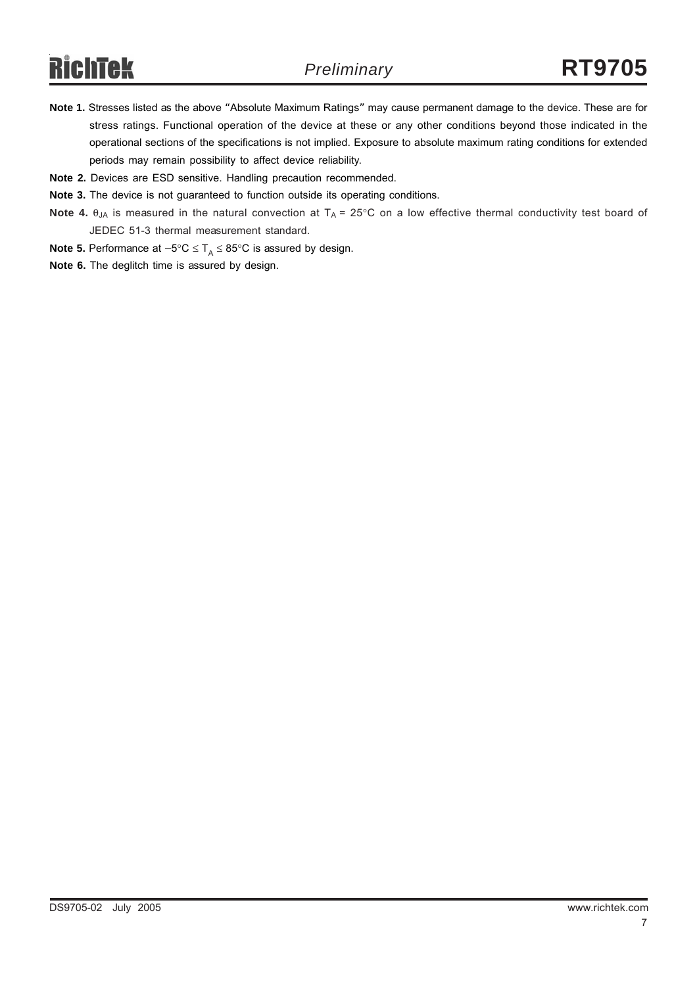- **Note 1.** Stresses listed as the above "Absolute Maximum Ratings" may cause permanent damage to the device. These are for stress ratings. Functional operation of the device at these or any other conditions beyond those indicated in the operational sections of the specifications is not implied. Exposure to absolute maximum rating conditions for extended periods may remain possibility to affect device reliability.
- **Note 2.** Devices are ESD sensitive. Handling precaution recommended.
- **Note 3.** The device is not guaranteed to function outside its operating conditions.
- **Note 4.** θ<sub>JA</sub> is measured in the natural convection at T<sub>A</sub> = 25°C on a low effective thermal conductivity test board of JEDEC 51-3 thermal measurement standard.
- Note 5. Performance at  $-5^{\circ}C \leq T_A \leq 85^{\circ}C$  is assured by design.
- **Note 6.** The deglitch time is assured by design.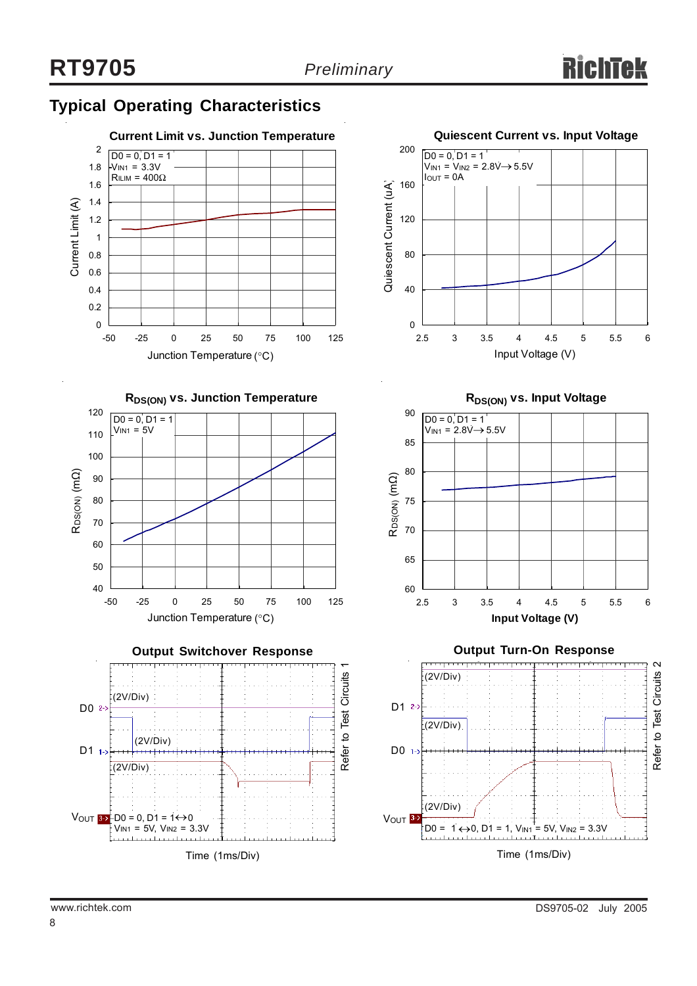### **Typical Operating Characteristics**





**RDS(ON) vs. Input Voltage**



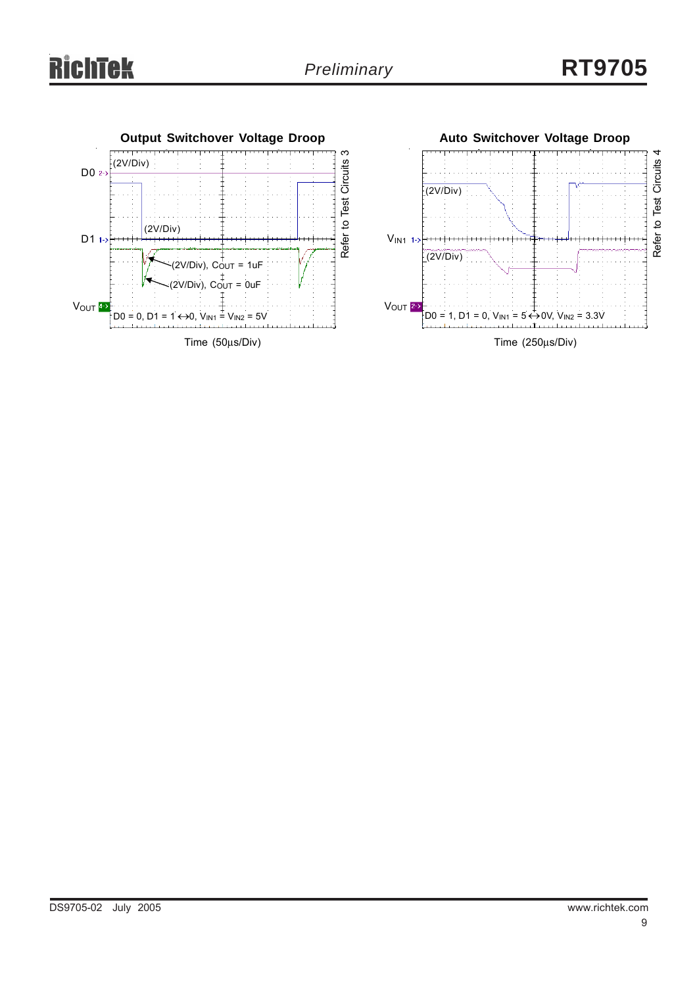

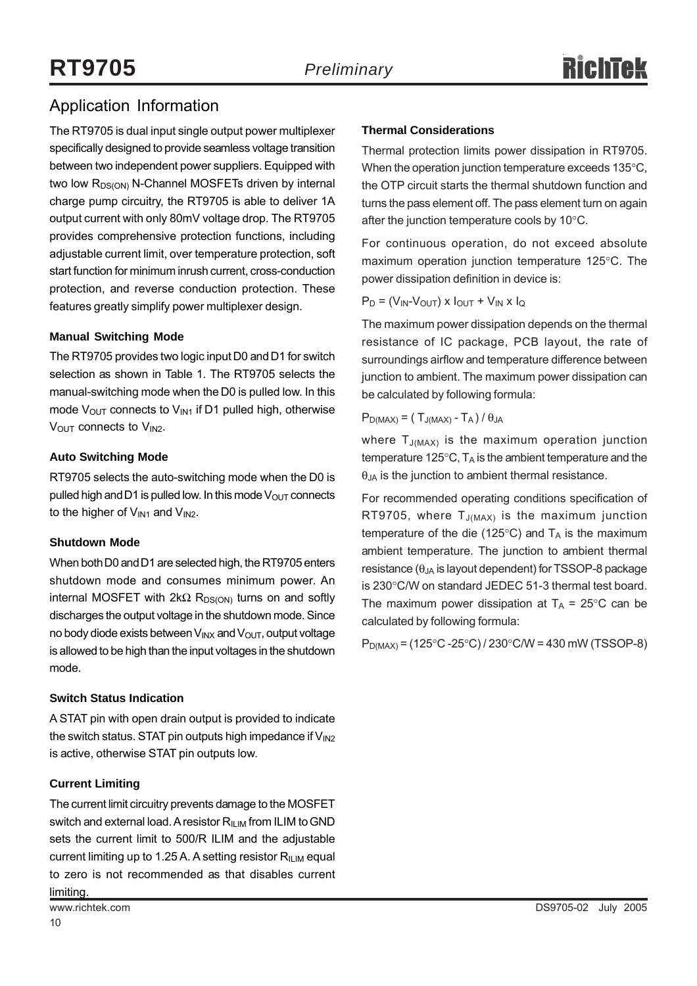### Application Information

The RT9705 is dual input single output power multiplexer specifically designed to provide seamless voltage transition between two independent power suppliers. Equipped with two low  $R_{DS(ON)}$  N-Channel MOSFETs driven by internal charge pump circuitry, the RT9705 is able to deliver 1A output current with only 80mV voltage drop. The RT9705 provides comprehensive protection functions, including adjustable current limit, over temperature protection, soft start function for minimum inrush current, cross-conduction protection, and reverse conduction protection. These features greatly simplify power multiplexer design.

#### **Manual Switching Mode**

The RT9705 provides two logic input D0 and D1 for switch selection as shown in Table 1. The RT9705 selects the manual-switching mode when the D0 is pulled low. In this mode  $V_{OUT}$  connects to  $V_{INI}$  if D1 pulled high, otherwise  $V<sub>OUT</sub>$  connects to  $V<sub>IN2</sub>$ .

#### **Auto Switching Mode**

RT9705 selects the auto-switching mode when the D0 is pulled high and D1 is pulled low. In this mode  $V_{\text{OUT}}$  connects to the higher of  $V_{IN1}$  and  $V_{IN2}$ .

#### **Shutdown Mode**

When both D0 and D1 are selected high, the RT9705 enters shutdown mode and consumes minimum power. An internal MOSFET with 2kΩ  $R_{DS(ON)}$  turns on and softly discharges the output voltage in the shutdown mode. Since no body diode exists between  $V_{INX}$  and  $V_{OUT}$ , output voltage is allowed to be high than the input voltages in the shutdown mode.

#### **Switch Status Indication**

A STAT pin with open drain output is provided to indicate the switch status. STAT pin outputs high impedance if  $V_{1N2}$ is active, otherwise STAT pin outputs low.

#### **Current Limiting**

The current limit circuitry prevents damage to the MOSFET switch and external load. A resistor  $R_{ILM}$  from ILIM to GND sets the current limit to 500/R ILIM and the adjustable current limiting up to 1.25 A. A setting resistor  $R_{\text{ILIM}}$  equal to zero is not recommended as that disables current limiting.

#### **Thermal Considerations**

Thermal protection limits power dissipation in RT9705. When the operation junction temperature exceeds 135°C, the OTP circuit starts the thermal shutdown function and turns the pass element off. The pass element turn on again after the junction temperature cools by 10°C.

For continuous operation, do not exceed absolute maximum operation junction temperature 125°C. The power dissipation definition in device is:

 $P_D = (V_{IN} - V_{OUT}) \times I_{OUT} + V_{IN} \times I_Q$ 

The maximum power dissipation depends on the thermal resistance of IC package, PCB layout, the rate of surroundings airflow and temperature difference between junction to ambient. The maximum power dissipation can be calculated by following formula:

#### $P_{D(MAX)} = (T_{J(MAX)} - T_A)/\theta_{JA}$

where  $T_{J(MAX)}$  is the maximum operation junction temperature 125 $\textdegree$ C, T<sub>A</sub> is the ambient temperature and the  $\theta$ <sub>JA</sub> is the junction to ambient thermal resistance.

For recommended operating conditions specification of RT9705, where  $T_{J(MAX)}$  is the maximum junction temperature of the die (125 $\degree$ C) and T<sub>A</sub> is the maximum ambient temperature. The junction to ambient thermal resistance  $(\theta_{JA}$  is layout dependent) for TSSOP-8 package is 230°C/W on standard JEDEC 51-3 thermal test board. The maximum power dissipation at  $T_A = 25^{\circ}$ C can be calculated by following formula:

 $P_{D(MAX)} = (125\degree C - 25\degree C)/230\degree C/W = 430$  mW (TSSOP-8)